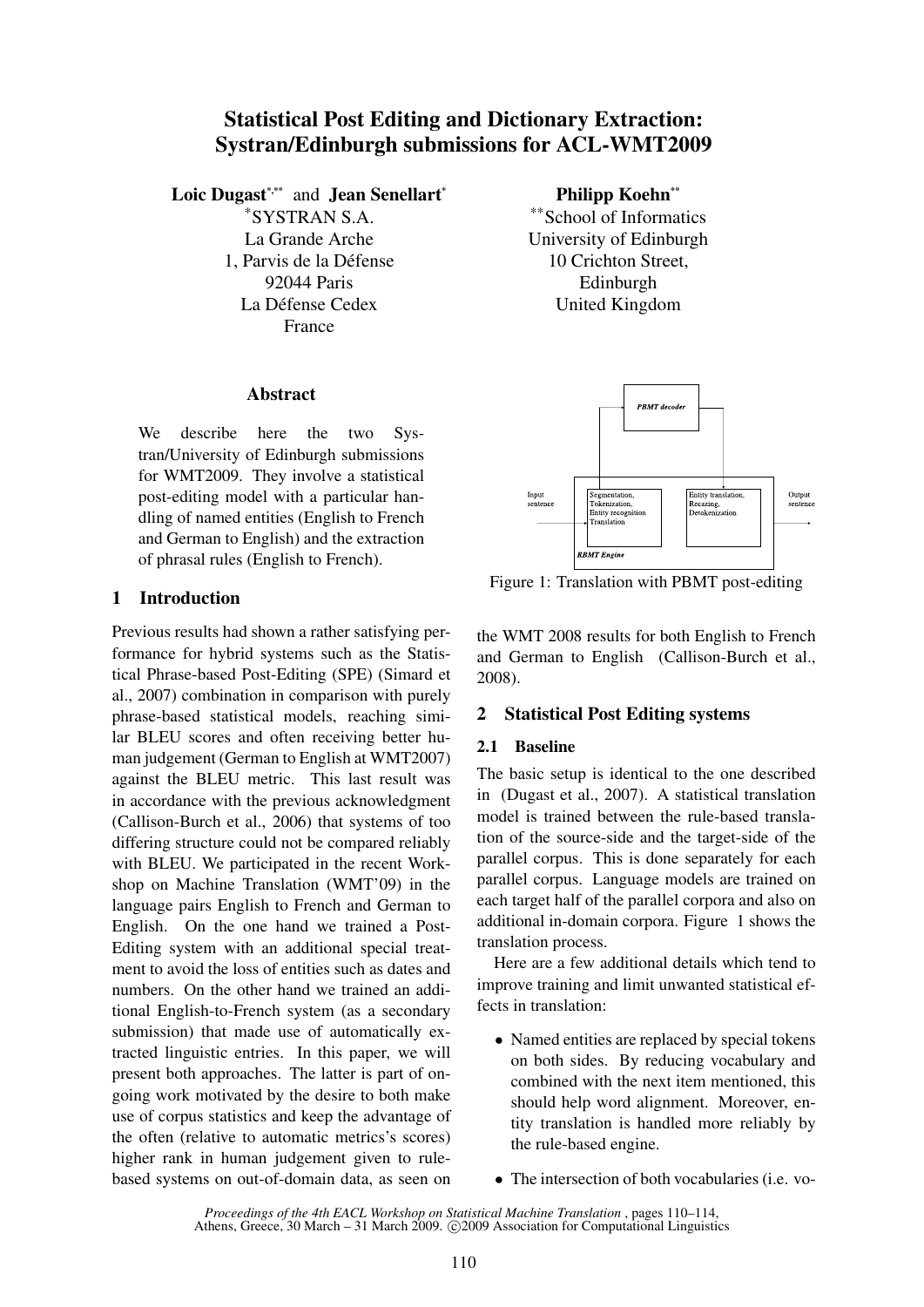# Statistical Post Editing and Dictionary Extraction: Systran/Edinburgh submissions for ACL-WMT2009

Loic Dugast\*,\*\* and Jean Senellart\*

\*SYSTRAN S.A. La Grande Arche 1. Parvis de la Défense 92044 Paris La Défense Cedex France

### Abstract

We describe here the two Systran/University of Edinburgh submissions for WMT2009. They involve a statistical post-editing model with a particular handling of named entities (English to French and German to English) and the extraction of phrasal rules (English to French).

# 1 Introduction

Previous results had shown a rather satisfying performance for hybrid systems such as the Statistical Phrase-based Post-Editing (SPE) (Simard et al., 2007) combination in comparison with purely phrase-based statistical models, reaching similar BLEU scores and often receiving better human judgement (German to English at WMT2007) against the BLEU metric. This last result was in accordance with the previous acknowledgment (Callison-Burch et al., 2006) that systems of too differing structure could not be compared reliably with BLEU. We participated in the recent Workshop on Machine Translation (WMT'09) in the language pairs English to French and German to English. On the one hand we trained a Post-Editing system with an additional special treatment to avoid the loss of entities such as dates and numbers. On the other hand we trained an additional English-to-French system (as a secondary submission) that made use of automatically extracted linguistic entries. In this paper, we will present both approaches. The latter is part of ongoing work motivated by the desire to both make use of corpus statistics and keep the advantage of the often (relative to automatic metrics's scores) higher rank in human judgement given to rulebased systems on out-of-domain data, as seen on Philipp Koehn\*\*

\*\*School of Informatics University of Edinburgh 10 Crichton Street, Edinburgh United Kingdom



Figure 1: Translation with PBMT post-editing

the WMT 2008 results for both English to French and German to English (Callison-Burch et al., 2008).

# 2 Statistical Post Editing systems

# 2.1 Baseline

The basic setup is identical to the one described in (Dugast et al., 2007). A statistical translation model is trained between the rule-based translation of the source-side and the target-side of the parallel corpus. This is done separately for each parallel corpus. Language models are trained on each target half of the parallel corpora and also on additional in-domain corpora. Figure 1 shows the translation process.

Here are a few additional details which tend to improve training and limit unwanted statistical effects in translation:

- Named entities are replaced by special tokens on both sides. By reducing vocabulary and combined with the next item mentioned, this should help word alignment. Moreover, entity translation is handled more reliably by the rule-based engine.
- The intersection of both vocabularies (i.e. vo-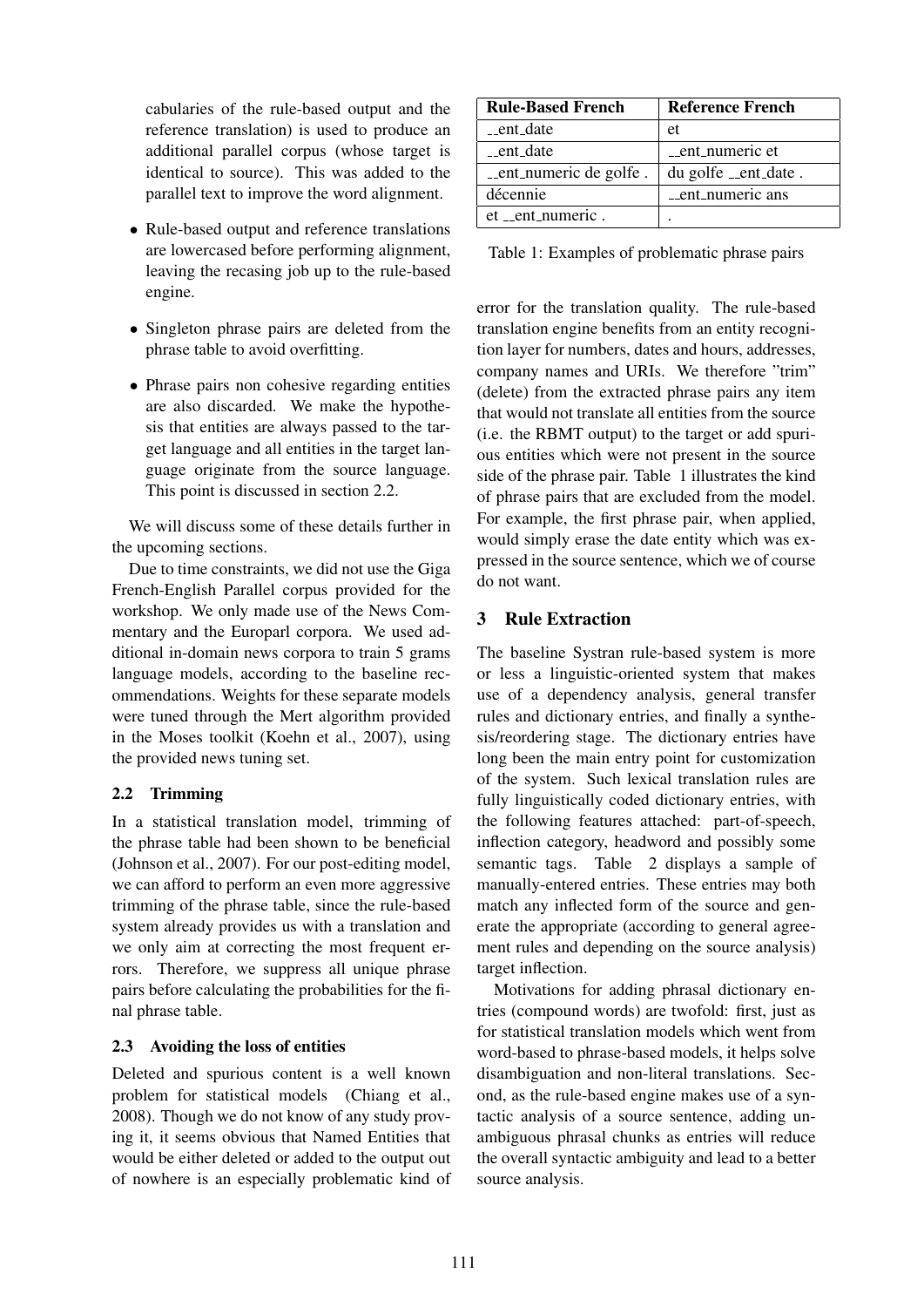cabularies of the rule-based output and the reference translation) is used to produce an additional parallel corpus (whose target is identical to source). This was added to the parallel text to improve the word alignment.

- Rule-based output and reference translations are lowercased before performing alignment, leaving the recasing job up to the rule-based engine.
- Singleton phrase pairs are deleted from the phrase table to avoid overfitting.
- Phrase pairs non cohesive regarding entities are also discarded. We make the hypothesis that entities are always passed to the target language and all entities in the target language originate from the source language. This point is discussed in section 2.2.

We will discuss some of these details further in the upcoming sections.

Due to time constraints, we did not use the Giga French-English Parallel corpus provided for the workshop. We only made use of the News Commentary and the Europarl corpora. We used additional in-domain news corpora to train 5 grams language models, according to the baseline recommendations. Weights for these separate models were tuned through the Mert algorithm provided in the Moses toolkit (Koehn et al., 2007), using the provided news tuning set.

### 2.2 Trimming

In a statistical translation model, trimming of the phrase table had been shown to be beneficial (Johnson et al., 2007). For our post-editing model, we can afford to perform an even more aggressive trimming of the phrase table, since the rule-based system already provides us with a translation and we only aim at correcting the most frequent errors. Therefore, we suppress all unique phrase pairs before calculating the probabilities for the final phrase table.

### 2.3 Avoiding the loss of entities

Deleted and spurious content is a well known problem for statistical models (Chiang et al., 2008). Though we do not know of any study proving it, it seems obvious that Named Entities that would be either deleted or added to the output out of nowhere is an especially problematic kind of

| <b>Rule-Based French</b> | Reference French     |  |
|--------------------------|----------------------|--|
| __ent_date               | et                   |  |
| _ent_date                | _ent_numeric et      |  |
| _ent_numeric de golfe.   | du golfe __ent_date. |  |
| décennie                 | _ent_numeric ans     |  |
| et _ent_numeric.         |                      |  |

Table 1: Examples of problematic phrase pairs

error for the translation quality. The rule-based translation engine benefits from an entity recognition layer for numbers, dates and hours, addresses, company names and URIs. We therefore "trim" (delete) from the extracted phrase pairs any item that would not translate all entities from the source (i.e. the RBMT output) to the target or add spurious entities which were not present in the source side of the phrase pair. Table 1 illustrates the kind of phrase pairs that are excluded from the model. For example, the first phrase pair, when applied, would simply erase the date entity which was expressed in the source sentence, which we of course do not want.

# 3 Rule Extraction

The baseline Systran rule-based system is more or less a linguistic-oriented system that makes use of a dependency analysis, general transfer rules and dictionary entries, and finally a synthesis/reordering stage. The dictionary entries have long been the main entry point for customization of the system. Such lexical translation rules are fully linguistically coded dictionary entries, with the following features attached: part-of-speech, inflection category, headword and possibly some semantic tags. Table 2 displays a sample of manually-entered entries. These entries may both match any inflected form of the source and generate the appropriate (according to general agreement rules and depending on the source analysis) target inflection.

Motivations for adding phrasal dictionary entries (compound words) are twofold: first, just as for statistical translation models which went from word-based to phrase-based models, it helps solve disambiguation and non-literal translations. Second, as the rule-based engine makes use of a syntactic analysis of a source sentence, adding unambiguous phrasal chunks as entries will reduce the overall syntactic ambiguity and lead to a better source analysis.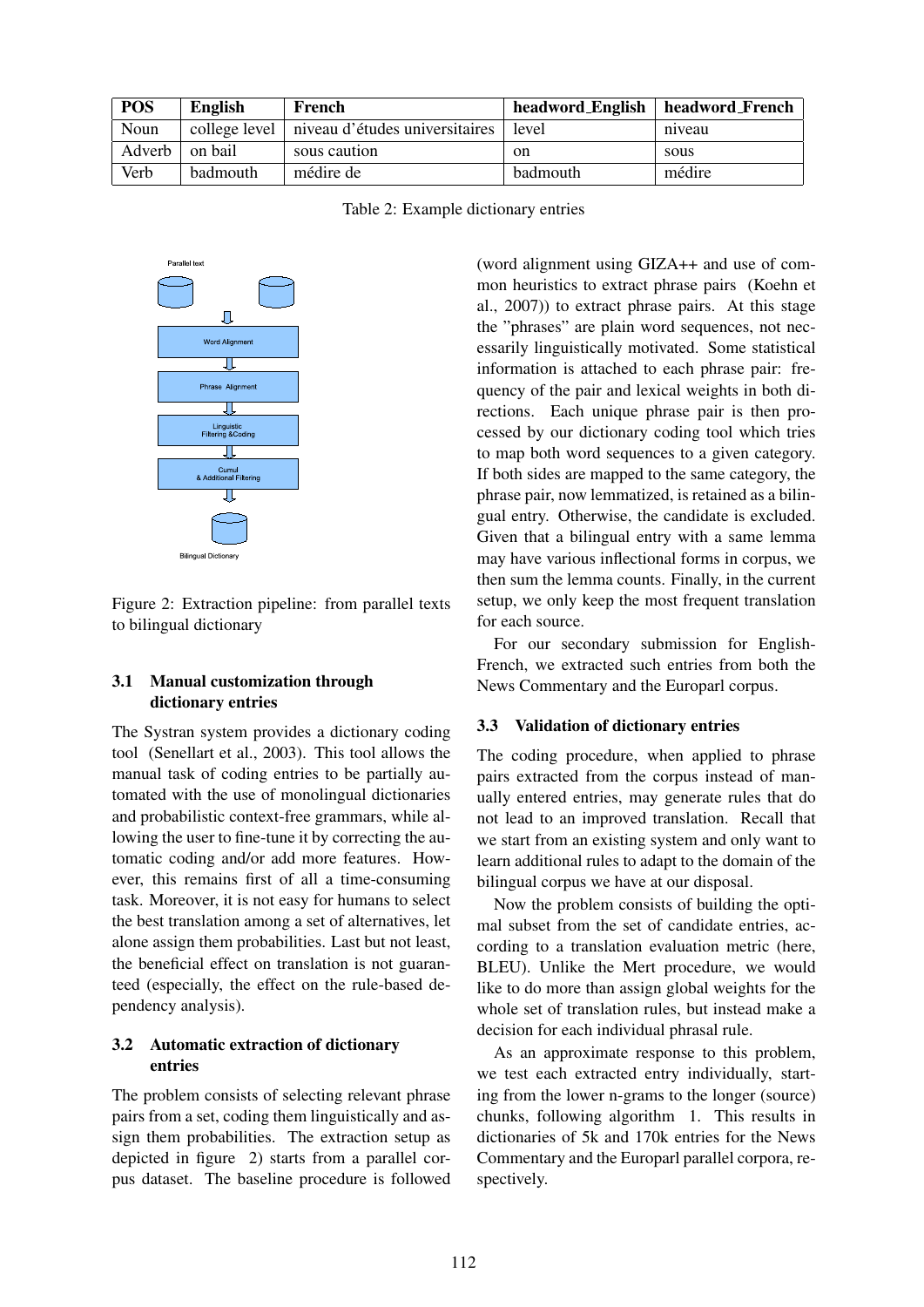| <b>POS</b> | <b>English</b>  | French                                         |               | headword_English   headword_French |
|------------|-----------------|------------------------------------------------|---------------|------------------------------------|
| Noun       |                 | college level   niveau d'études universitaires | level         | niveau                             |
| Adverb     | on bail         | sous caution                                   | <sub>on</sub> | sous                               |
| Verb       | <b>badmouth</b> | médire de                                      | badmouth      | médire                             |

Table 2: Example dictionary entries



Figure 2: Extraction pipeline: from parallel texts to bilingual dictionary

#### 3.1 Manual customization through dictionary entries

The Systran system provides a dictionary coding tool (Senellart et al., 2003). This tool allows the manual task of coding entries to be partially automated with the use of monolingual dictionaries and probabilistic context-free grammars, while allowing the user to fine-tune it by correcting the automatic coding and/or add more features. However, this remains first of all a time-consuming task. Moreover, it is not easy for humans to select the best translation among a set of alternatives, let alone assign them probabilities. Last but not least, the beneficial effect on translation is not guaranteed (especially, the effect on the rule-based dependency analysis).

### 3.2 Automatic extraction of dictionary entries

The problem consists of selecting relevant phrase pairs from a set, coding them linguistically and assign them probabilities. The extraction setup as depicted in figure 2) starts from a parallel corpus dataset. The baseline procedure is followed

(word alignment using GIZA++ and use of common heuristics to extract phrase pairs (Koehn et al., 2007)) to extract phrase pairs. At this stage the "phrases" are plain word sequences, not necessarily linguistically motivated. Some statistical information is attached to each phrase pair: frequency of the pair and lexical weights in both directions. Each unique phrase pair is then processed by our dictionary coding tool which tries to map both word sequences to a given category. If both sides are mapped to the same category, the phrase pair, now lemmatized, is retained as a bilingual entry. Otherwise, the candidate is excluded. Given that a bilingual entry with a same lemma may have various inflectional forms in corpus, we then sum the lemma counts. Finally, in the current setup, we only keep the most frequent translation for each source.

For our secondary submission for English-French, we extracted such entries from both the News Commentary and the Europarl corpus.

#### 3.3 Validation of dictionary entries

The coding procedure, when applied to phrase pairs extracted from the corpus instead of manually entered entries, may generate rules that do not lead to an improved translation. Recall that we start from an existing system and only want to learn additional rules to adapt to the domain of the bilingual corpus we have at our disposal.

Now the problem consists of building the optimal subset from the set of candidate entries, according to a translation evaluation metric (here, BLEU). Unlike the Mert procedure, we would like to do more than assign global weights for the whole set of translation rules, but instead make a decision for each individual phrasal rule.

As an approximate response to this problem, we test each extracted entry individually, starting from the lower n-grams to the longer (source) chunks, following algorithm 1. This results in dictionaries of 5k and 170k entries for the News Commentary and the Europarl parallel corpora, respectively.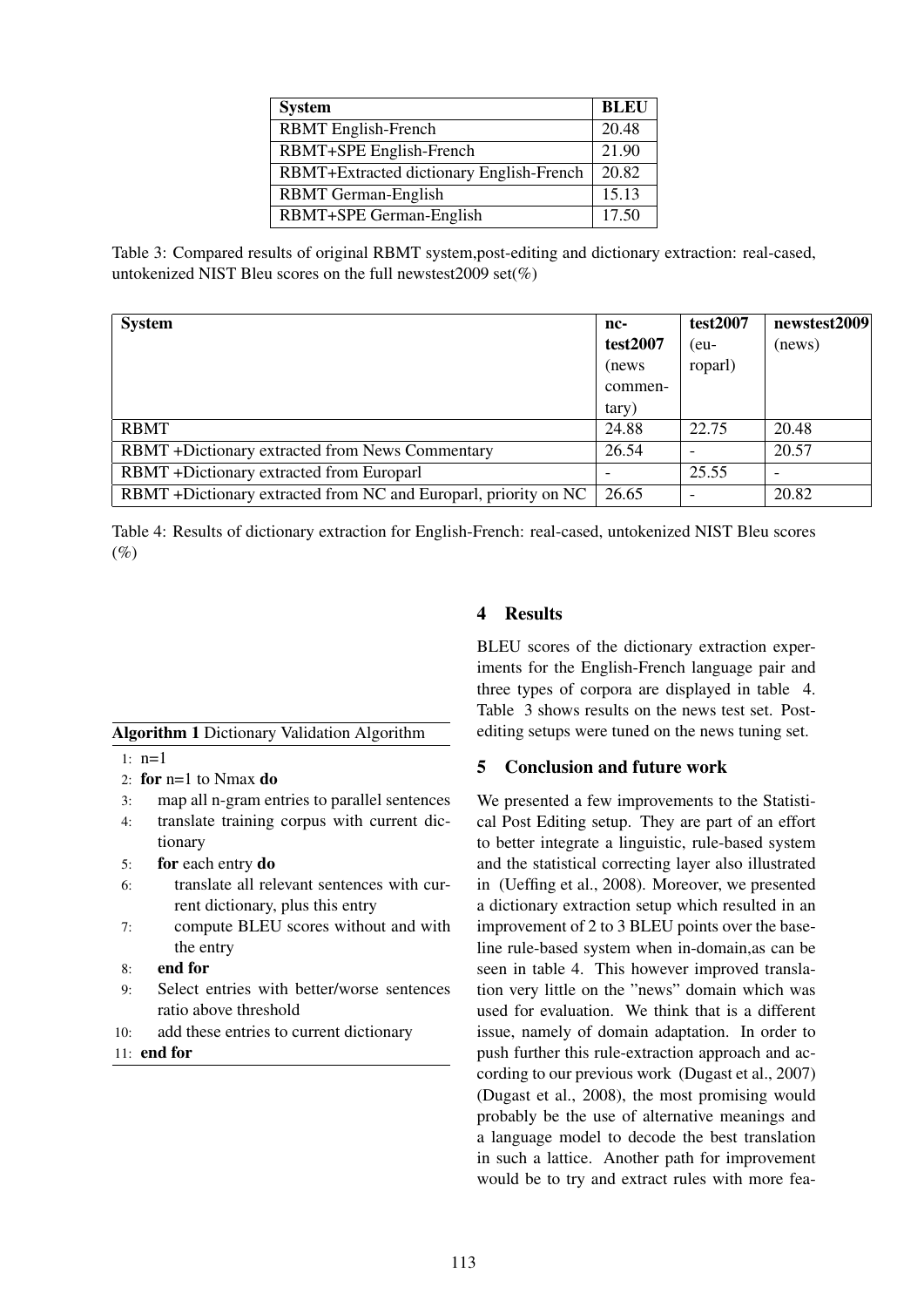| <b>System</b>                            | <b>BLEU</b> |
|------------------------------------------|-------------|
| <b>RBMT</b> English-French               | 20.48       |
| RBMT+SPE English-French                  | 21.90       |
| RBMT+Extracted dictionary English-French | 20.82       |
| <b>RBMT</b> German-English               | 15.13       |
| RBMT+SPE German-English                  | 17.50       |

Table 3: Compared results of original RBMT system,post-editing and dictionary extraction: real-cased, untokenized NIST Bleu scores on the full newstest  $2009$  set(%)

| <b>System</b>                                                   | nc-      | test2007 | newstest2009 |
|-----------------------------------------------------------------|----------|----------|--------------|
|                                                                 | test2007 | $(eu-$   | (news)       |
|                                                                 | (news)   | roparl)  |              |
|                                                                 | commen-  |          |              |
|                                                                 | tary)    |          |              |
| <b>RBMT</b>                                                     | 24.88    | 22.75    | 20.48        |
| <b>RBMT</b> +Dictionary extracted from News Commentary          | 26.54    |          | 20.57        |
| RBMT +Dictionary extracted from Europarl                        |          | 25.55    |              |
| RBMT +Dictionary extracted from NC and Europarl, priority on NC | 26.65    |          | 20.82        |

Table 4: Results of dictionary extraction for English-French: real-cased, untokenized NIST Bleu scores  $(\% )$ 

### Algorithm 1 Dictionary Validation Algorithm

- 1: n=1
- 2: for n=1 to Nmax do
- 3: map all n-gram entries to parallel sentences
- 4: translate training corpus with current dictionary
- 5: for each entry do
- 6: translate all relevant sentences with current dictionary, plus this entry
- 7: compute BLEU scores without and with the entry
- 8: end for
- 9: Select entries with better/worse sentences ratio above threshold
- 10: add these entries to current dictionary
- 11: end for

### 4 Results

BLEU scores of the dictionary extraction experiments for the English-French language pair and three types of corpora are displayed in table 4. Table 3 shows results on the news test set. Postediting setups were tuned on the news tuning set.

### 5 Conclusion and future work

We presented a few improvements to the Statistical Post Editing setup. They are part of an effort to better integrate a linguistic, rule-based system and the statistical correcting layer also illustrated in (Ueffing et al., 2008). Moreover, we presented a dictionary extraction setup which resulted in an improvement of 2 to 3 BLEU points over the baseline rule-based system when in-domain,as can be seen in table 4. This however improved translation very little on the "news" domain which was used for evaluation. We think that is a different issue, namely of domain adaptation. In order to push further this rule-extraction approach and according to our previous work (Dugast et al., 2007) (Dugast et al., 2008), the most promising would probably be the use of alternative meanings and a language model to decode the best translation in such a lattice. Another path for improvement would be to try and extract rules with more fea